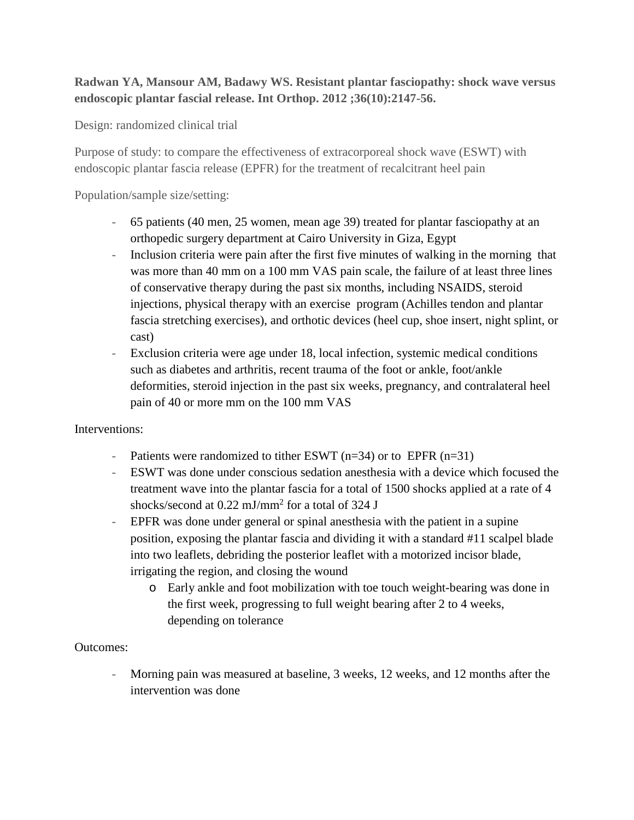## **Radwan YA, Mansour AM, Badawy WS. Resistant plantar fasciopathy: shock wave versus endoscopic plantar fascial release. Int Orthop. 2012 ;36(10):2147-56.**

Design: randomized clinical trial

Purpose of study: to compare the effectiveness of extracorporeal shock wave (ESWT) with endoscopic plantar fascia release (EPFR) for the treatment of recalcitrant heel pain

Population/sample size/setting:

- 65 patients (40 men, 25 women, mean age 39) treated for plantar fasciopathy at an orthopedic surgery department at Cairo University in Giza, Egypt
- Inclusion criteria were pain after the first five minutes of walking in the morning that was more than 40 mm on a 100 mm VAS pain scale, the failure of at least three lines of conservative therapy during the past six months, including NSAIDS, steroid injections, physical therapy with an exercise program (Achilles tendon and plantar fascia stretching exercises), and orthotic devices (heel cup, shoe insert, night splint, or cast)
- Exclusion criteria were age under 18, local infection, systemic medical conditions such as diabetes and arthritis, recent trauma of the foot or ankle, foot/ankle deformities, steroid injection in the past six weeks, pregnancy, and contralateral heel pain of 40 or more mm on the 100 mm VAS

Interventions:

- Patients were randomized to tither ESWT  $(n=34)$  or to EPFR  $(n=31)$
- ESWT was done under conscious sedation anesthesia with a device which focused the treatment wave into the plantar fascia for a total of 1500 shocks applied at a rate of 4 shocks/second at 0.22 mJ/mm2 for a total of 324 J
- EPFR was done under general or spinal anesthesia with the patient in a supine position, exposing the plantar fascia and dividing it with a standard #11 scalpel blade into two leaflets, debriding the posterior leaflet with a motorized incisor blade, irrigating the region, and closing the wound
	- o Early ankle and foot mobilization with toe touch weight-bearing was done in the first week, progressing to full weight bearing after 2 to 4 weeks, depending on tolerance

## Outcomes:

- Morning pain was measured at baseline, 3 weeks, 12 weeks, and 12 months after the intervention was done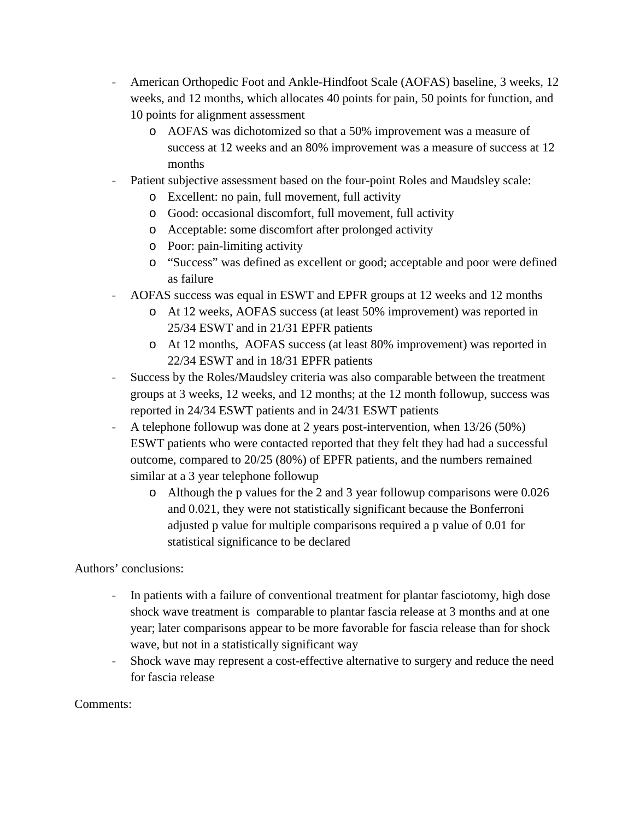- American Orthopedic Foot and Ankle-Hindfoot Scale (AOFAS) baseline, 3 weeks, 12 weeks, and 12 months, which allocates 40 points for pain, 50 points for function, and 10 points for alignment assessment
	- o AOFAS was dichotomized so that a 50% improvement was a measure of success at 12 weeks and an 80% improvement was a measure of success at 12 months
- Patient subjective assessment based on the four-point Roles and Maudsley scale:
	- o Excellent: no pain, full movement, full activity
	- o Good: occasional discomfort, full movement, full activity
	- o Acceptable: some discomfort after prolonged activity
	- o Poor: pain-limiting activity
	- o "Success" was defined as excellent or good; acceptable and poor were defined as failure
- AOFAS success was equal in ESWT and EPFR groups at 12 weeks and 12 months
	- o At 12 weeks, AOFAS success (at least 50% improvement) was reported in 25/34 ESWT and in 21/31 EPFR patients
	- o At 12 months, AOFAS success (at least 80% improvement) was reported in 22/34 ESWT and in 18/31 EPFR patients
- Success by the Roles/Maudsley criteria was also comparable between the treatment groups at 3 weeks, 12 weeks, and 12 months; at the 12 month followup, success was reported in 24/34 ESWT patients and in 24/31 ESWT patients
- A telephone followup was done at 2 years post-intervention, when 13/26 (50%) ESWT patients who were contacted reported that they felt they had had a successful outcome, compared to 20/25 (80%) of EPFR patients, and the numbers remained similar at a 3 year telephone followup
	- o Although the p values for the 2 and 3 year followup comparisons were 0.026 and 0.021, they were not statistically significant because the Bonferroni adjusted p value for multiple comparisons required a p value of 0.01 for statistical significance to be declared

Authors' conclusions:

- In patients with a failure of conventional treatment for plantar fasciotomy, high dose shock wave treatment is comparable to plantar fascia release at 3 months and at one year; later comparisons appear to be more favorable for fascia release than for shock wave, but not in a statistically significant way
- Shock wave may represent a cost-effective alternative to surgery and reduce the need for fascia release

## Comments: